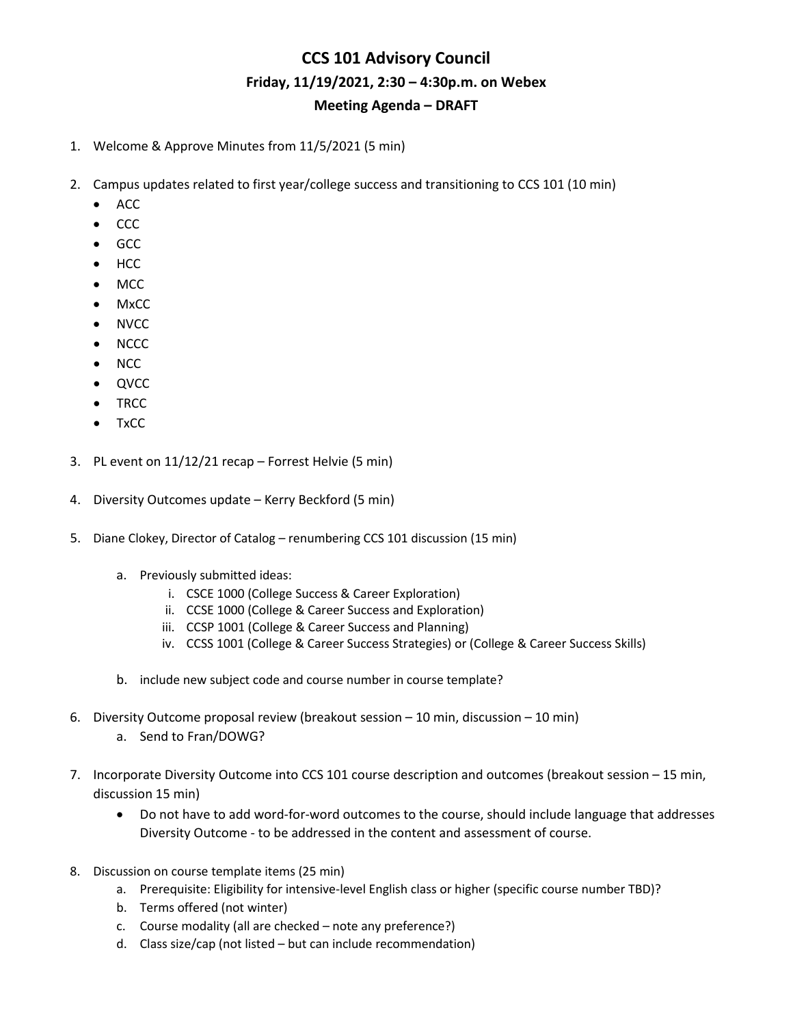## **CCS 101 Advisory Council Friday, 11/19/2021, 2:30 – 4:30p.m. on Webex Meeting Agenda – DRAFT**

- 1. Welcome & Approve Minutes from 11/5/2021 (5 min)
- 2. Campus updates related to first year/college success and transitioning to CCS 101 (10 min)
	- ACC
	- CCC
	- GCC
	- HCC
	- MCC
	- MxCC
	- NVCC
	- NCCC
	- NCC
	- QVCC
	- TRCC
	- TxCC
- 3. PL event on 11/12/21 recap Forrest Helvie (5 min)
- 4. Diversity Outcomes update Kerry Beckford (5 min)
- 5. Diane Clokey, Director of Catalog renumbering CCS 101 discussion (15 min)
	- a. Previously submitted ideas:
		- i. CSCE 1000 (College Success & Career Exploration)
		- ii. CCSE 1000 (College & Career Success and Exploration)
		- iii. CCSP 1001 (College & Career Success and Planning)
		- iv. CCSS 1001 (College & Career Success Strategies) or (College & Career Success Skills)
	- b. include new subject code and course number in course template?
- 6. Diversity Outcome proposal review (breakout session 10 min, discussion 10 min)
	- a. Send to Fran/DOWG?
- 7. Incorporate Diversity Outcome into CCS 101 course description and outcomes (breakout session 15 min, discussion 15 min)
	- Do not have to add word-for-word outcomes to the course, should include language that addresses Diversity Outcome - to be addressed in the content and assessment of course.
- 8. Discussion on course template items (25 min)
	- a. Prerequisite: Eligibility for intensive-level English class or higher (specific course number TBD)?
	- b. Terms offered (not winter)
	- c. Course modality (all are checked note any preference?)
	- d. Class size/cap (not listed but can include recommendation)